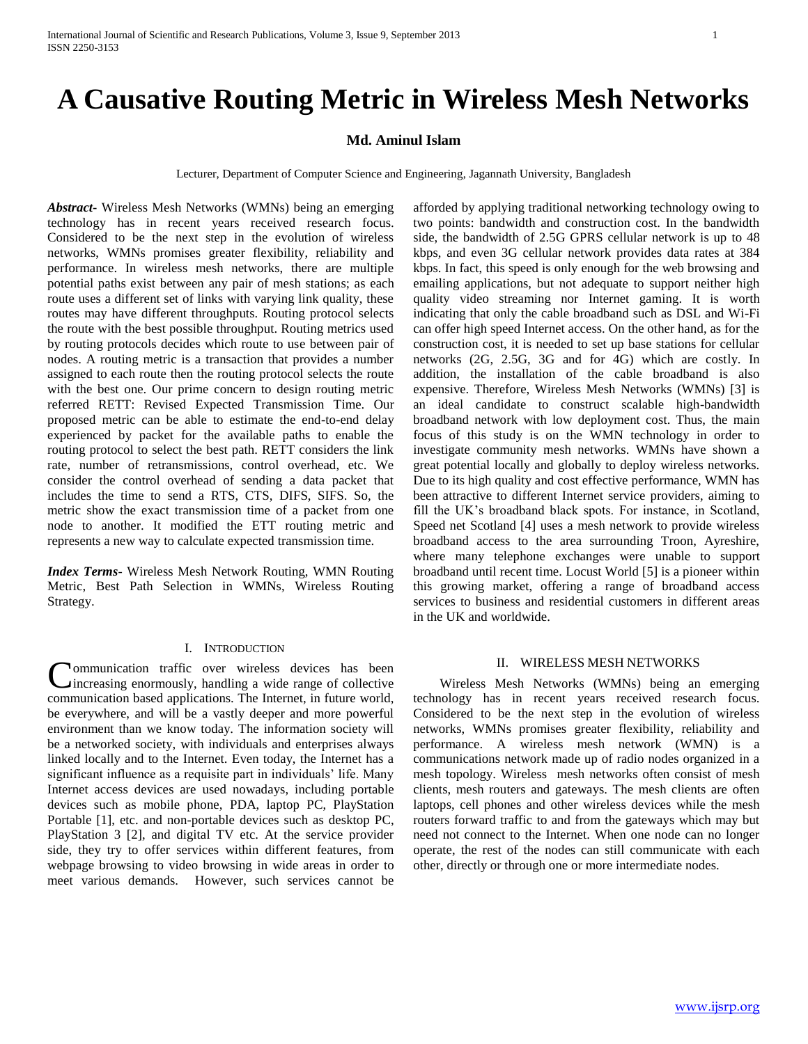# **A Causative Routing Metric in Wireless Mesh Networks**

## **Md. Aminul Islam**

Lecturer, Department of Computer Science and Engineering, Jagannath University, Bangladesh

*Abstract***-** Wireless Mesh Networks (WMNs) being an emerging technology has in recent years received research focus. Considered to be the next step in the evolution of wireless networks, WMNs promises greater flexibility, reliability and performance. In wireless mesh networks, there are multiple potential paths exist between any pair of mesh stations; as each route uses a different set of links with varying link quality, these routes may have different throughputs. Routing protocol selects the route with the best possible throughput. Routing metrics used by routing protocols decides which route to use between pair of nodes. A routing metric is a transaction that provides a number assigned to each route then the routing protocol selects the route with the best one. Our prime concern to design routing metric referred RETT: Revised Expected Transmission Time. Our proposed metric can be able to estimate the end-to-end delay experienced by packet for the available paths to enable the routing protocol to select the best path. RETT considers the link rate, number of retransmissions, control overhead, etc. We consider the control overhead of sending a data packet that includes the time to send a RTS, CTS, DIFS, SIFS. So, the metric show the exact transmission time of a packet from one node to another. It modified the ETT routing metric and represents a new way to calculate expected transmission time.

*Index Terms*- Wireless Mesh Network Routing, WMN Routing Metric, Best Path Selection in WMNs, Wireless Routing Strategy.

## I. INTRODUCTION

**Nommunication** traffic over wireless devices has been Communication traffic over wireless devices has been increasing enormously, handling a wide range of collective communication based applications. The Internet, in future world, be everywhere, and will be a vastly deeper and more powerful environment than we know today. The information society will be a networked society, with individuals and enterprises always linked locally and to the Internet. Even today, the Internet has a significant influence as a requisite part in individuals' life. Many Internet access devices are used nowadays, including portable devices such as mobile phone, PDA, laptop PC, PlayStation Portable [1], etc. and non-portable devices such as desktop PC, PlayStation 3 [2], and digital TV etc. At the service provider side, they try to offer services within different features, from webpage browsing to video browsing in wide areas in order to meet various demands. However, such services cannot be

afforded by applying traditional networking technology owing to two points: bandwidth and construction cost. In the bandwidth side, the bandwidth of 2.5G GPRS cellular network is up to 48 kbps, and even 3G cellular network provides data rates at 384 kbps. In fact, this speed is only enough for the web browsing and emailing applications, but not adequate to support neither high quality video streaming nor Internet gaming. It is worth indicating that only the cable broadband such as DSL and Wi-Fi can offer high speed Internet access. On the other hand, as for the construction cost, it is needed to set up base stations for cellular networks (2G, 2.5G, 3G and for 4G) which are costly. In addition, the installation of the cable broadband is also expensive. Therefore, Wireless Mesh Networks (WMNs) [3] is an ideal candidate to construct scalable high-bandwidth broadband network with low deployment cost. Thus, the main focus of this study is on the WMN technology in order to investigate community mesh networks. WMNs have shown a great potential locally and globally to deploy wireless networks. Due to its high quality and cost effective performance, WMN has been attractive to different Internet service providers, aiming to fill the UK's broadband black spots. For instance, in Scotland, Speed net Scotland [4] uses a mesh network to provide wireless broadband access to the area surrounding Troon, Ayreshire, where many telephone exchanges were unable to support broadband until recent time. Locust World [5] is a pioneer within this growing market, offering a range of broadband access services to business and residential customers in different areas in the UK and worldwide.

#### II. WIRELESS MESH NETWORKS

 Wireless Mesh Networks (WMNs) being an emerging technology has in recent years received research focus. Considered to be the next step in the evolution of wireless networks, WMNs promises greater flexibility, reliability and performance. A wireless mesh network (WMN) is a communications network made up of radio nodes organized in a mesh topology. Wireless mesh networks often consist of mesh clients, mesh routers and gateways. The mesh clients are often laptops, cell phones and other wireless devices while the mesh routers forward traffic to and from the gateways which may but need not connect to the Internet. When one node can no longer operate, the rest of the nodes can still communicate with each other, directly or through one or more intermediate nodes.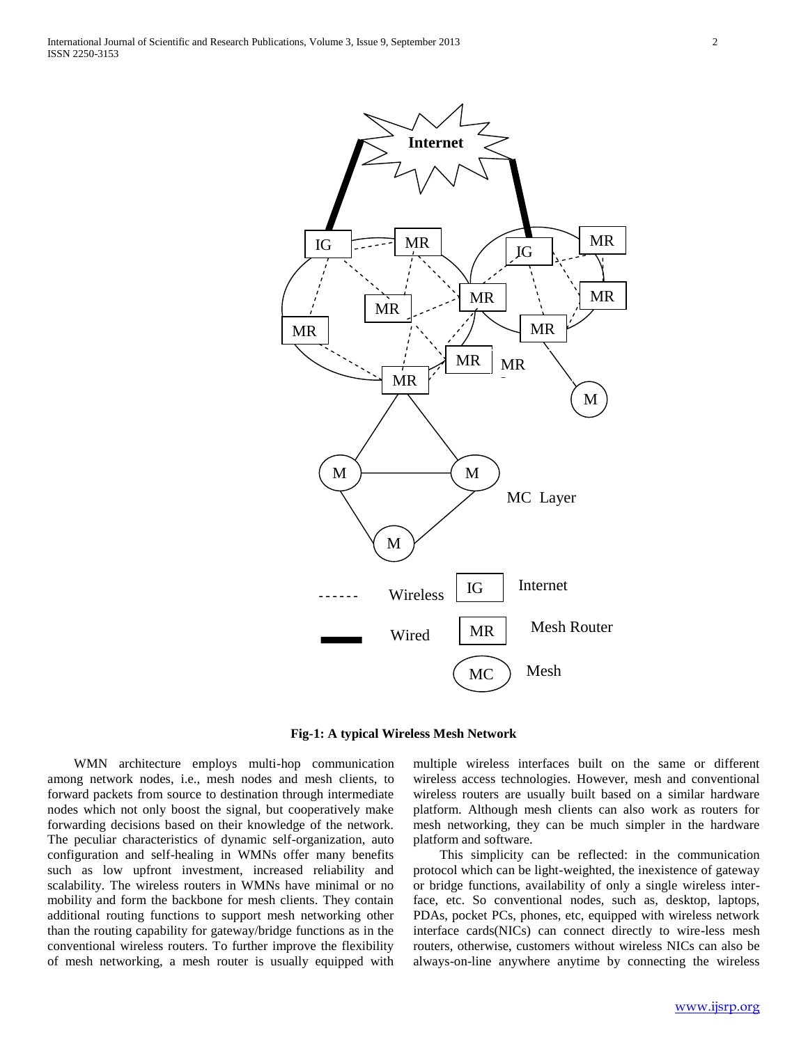

**Fig-1: A typical Wireless Mesh Network**

 WMN architecture employs multi-hop communication among network nodes, i.e., mesh nodes and mesh clients, to forward packets from source to destination through intermediate nodes which not only boost the signal, but cooperatively make forwarding decisions based on their knowledge of the network. The peculiar characteristics of dynamic self-organization, auto configuration and self-healing in WMNs offer many benefits such as low upfront investment, increased reliability and scalability. The wireless routers in WMNs have minimal or no mobility and form the backbone for mesh clients. They contain additional routing functions to support mesh networking other than the routing capability for gateway/bridge functions as in the conventional wireless routers. To further improve the flexibility of mesh networking, a mesh router is usually equipped with

multiple wireless interfaces built on the same or different wireless access technologies. However, mesh and conventional wireless routers are usually built based on a similar hardware platform. Although mesh clients can also work as routers for mesh networking, they can be much simpler in the hardware platform and software.

 This simplicity can be reflected: in the communication protocol which can be light-weighted, the inexistence of gateway or bridge functions, availability of only a single wireless interface, etc. So conventional nodes, such as, desktop, laptops, PDAs, pocket PCs, phones, etc, equipped with wireless network interface cards(NICs) can connect directly to wire-less mesh routers, otherwise, customers without wireless NICs can also be always-on-line anywhere anytime by connecting the wireless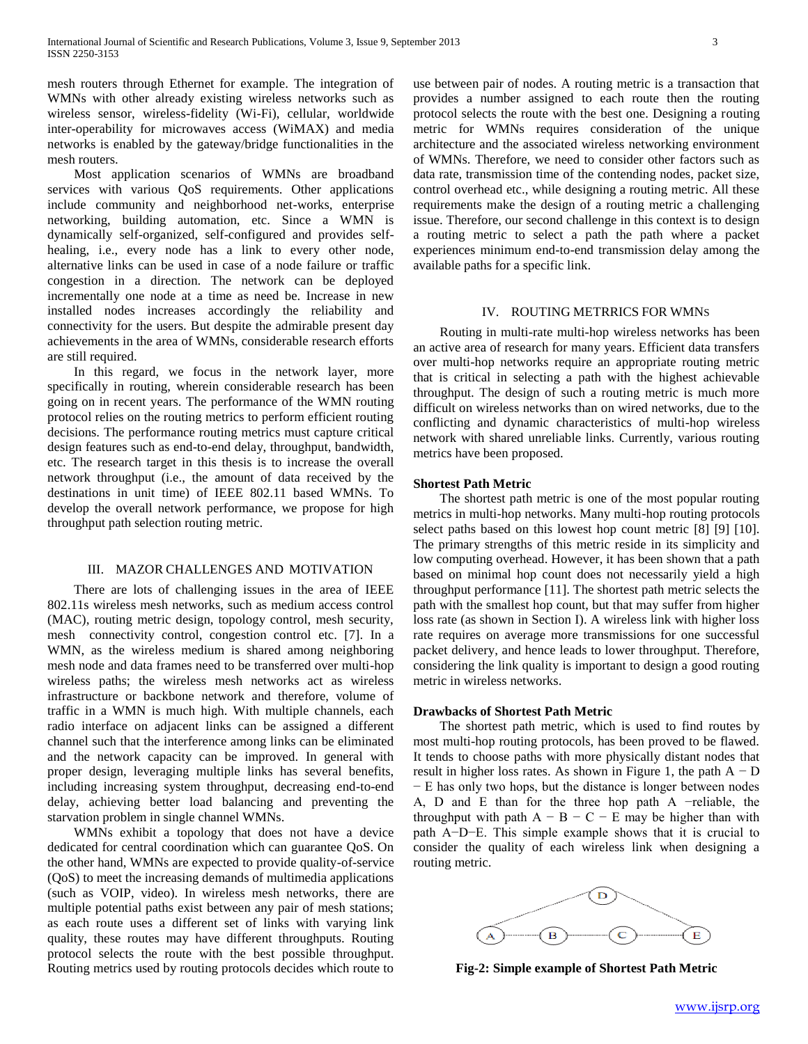mesh routers through Ethernet for example. The integration of WMNs with other already existing wireless networks such as wireless sensor, wireless-fidelity (Wi-Fi), cellular, worldwide inter-operability for microwaves access (WiMAX) and media networks is enabled by the gateway/bridge functionalities in the mesh routers.

 Most application scenarios of WMNs are broadband services with various QoS requirements. Other applications include community and neighborhood net-works, enterprise networking, building automation, etc. Since a WMN is dynamically self-organized, self-configured and provides selfhealing, i.e., every node has a link to every other node, alternative links can be used in case of a node failure or traffic congestion in a direction. The network can be deployed incrementally one node at a time as need be. Increase in new installed nodes increases accordingly the reliability and connectivity for the users. But despite the admirable present day achievements in the area of WMNs, considerable research efforts are still required.

 In this regard, we focus in the network layer, more specifically in routing, wherein considerable research has been going on in recent years. The performance of the WMN routing protocol relies on the routing metrics to perform efficient routing decisions. The performance routing metrics must capture critical design features such as end-to-end delay, throughput, bandwidth, etc. The research target in this thesis is to increase the overall network throughput (i.e., the amount of data received by the destinations in unit time) of IEEE 802.11 based WMNs. To develop the overall network performance, we propose for high throughput path selection routing metric.

## III. MAZOR CHALLENGES AND MOTIVATION

 There are lots of challenging issues in the area of IEEE 802.11s wireless mesh networks, such as medium access control (MAC), routing metric design, topology control, mesh security, mesh connectivity control, congestion control etc. [7]. In a WMN, as the wireless medium is shared among neighboring mesh node and data frames need to be transferred over multi-hop wireless paths; the wireless mesh networks act as wireless infrastructure or backbone network and therefore, volume of traffic in a WMN is much high. With multiple channels, each radio interface on adjacent links can be assigned a different channel such that the interference among links can be eliminated and the network capacity can be improved. In general with proper design, leveraging multiple links has several benefits, including increasing system throughput, decreasing end-to-end delay, achieving better load balancing and preventing the starvation problem in single channel WMNs.

 WMNs exhibit a topology that does not have a device dedicated for central coordination which can guarantee QoS. On the other hand, WMNs are expected to provide quality-of-service (QoS) to meet the increasing demands of multimedia applications (such as VOIP, video). In wireless mesh networks, there are multiple potential paths exist between any pair of mesh stations; as each route uses a different set of links with varying link quality, these routes may have different throughputs. Routing protocol selects the route with the best possible throughput. Routing metrics used by routing protocols decides which route to use between pair of nodes. A routing metric is a transaction that provides a number assigned to each route then the routing protocol selects the route with the best one. Designing a routing metric for WMNs requires consideration of the unique architecture and the associated wireless networking environment of WMNs. Therefore, we need to consider other factors such as data rate, transmission time of the contending nodes, packet size, control overhead etc., while designing a routing metric. All these requirements make the design of a routing metric a challenging issue. Therefore, our second challenge in this context is to design a routing metric to select a path the path where a packet experiences minimum end-to-end transmission delay among the available paths for a specific link.

## IV. ROUTING METRRICS FOR WMNS

 Routing in multi-rate multi-hop wireless networks has been an active area of research for many years. Efficient data transfers over multi-hop networks require an appropriate routing metric that is critical in selecting a path with the highest achievable throughput. The design of such a routing metric is much more difficult on wireless networks than on wired networks, due to the conflicting and dynamic characteristics of multi-hop wireless network with shared unreliable links. Currently, various routing metrics have been proposed.

## **Shortest Path Metric**

 The shortest path metric is one of the most popular routing metrics in multi-hop networks. Many multi-hop routing protocols select paths based on this lowest hop count metric [8] [9] [10]. The primary strengths of this metric reside in its simplicity and low computing overhead. However, it has been shown that a path based on minimal hop count does not necessarily yield a high throughput performance [11]. The shortest path metric selects the path with the smallest hop count, but that may suffer from higher loss rate (as shown in Section I). A wireless link with higher loss rate requires on average more transmissions for one successful packet delivery, and hence leads to lower throughput. Therefore, considering the link quality is important to design a good routing metric in wireless networks.

## **Drawbacks of Shortest Path Metric**

 The shortest path metric, which is used to find routes by most multi-hop routing protocols, has been proved to be flawed. It tends to choose paths with more physically distant nodes that result in higher loss rates. As shown in Figure 1, the path  $A - D$ − E has only two hops, but the distance is longer between nodes A, D and E than for the three hop path A −reliable, the throughput with path  $A - B - C - E$  may be higher than with path A−D−E. This simple example shows that it is crucial to consider the quality of each wireless link when designing a routing metric.



**Fig-2: Simple example of Shortest Path Metric**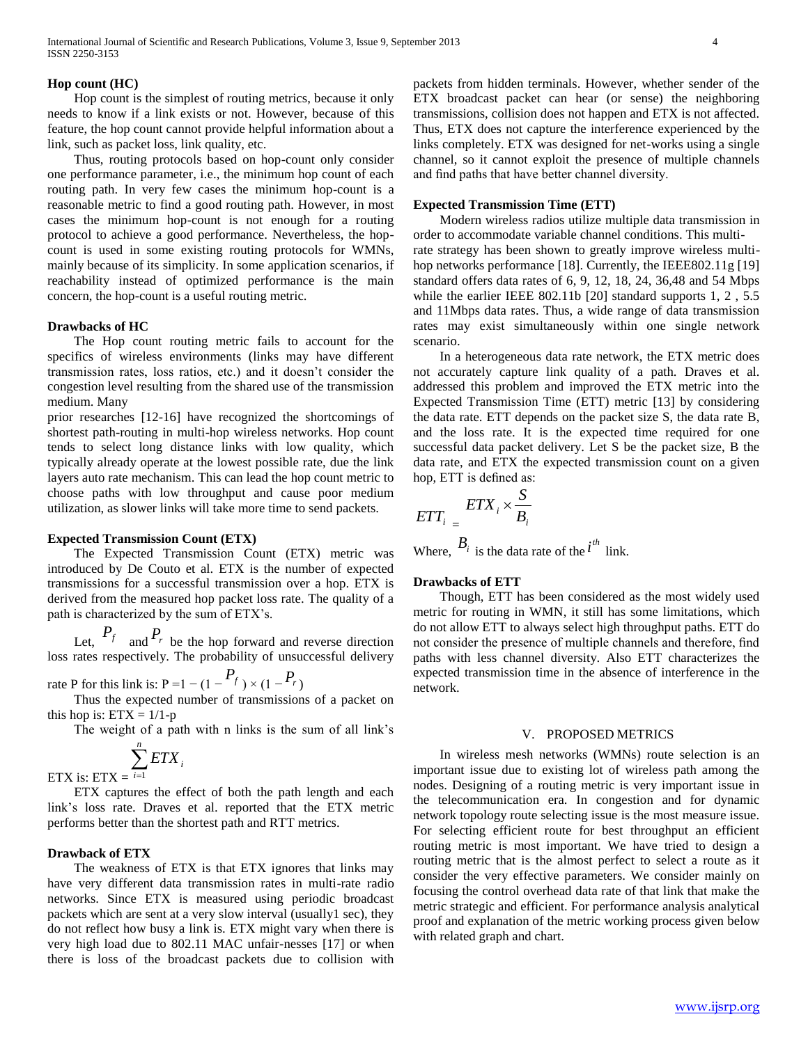#### **Hop count (HC)**

 Hop count is the simplest of routing metrics, because it only needs to know if a link exists or not. However, because of this feature, the hop count cannot provide helpful information about a link, such as packet loss, link quality, etc.

 Thus, routing protocols based on hop-count only consider one performance parameter, i.e., the minimum hop count of each routing path. In very few cases the minimum hop-count is a reasonable metric to find a good routing path. However, in most cases the minimum hop-count is not enough for a routing protocol to achieve a good performance. Nevertheless, the hopcount is used in some existing routing protocols for WMNs, mainly because of its simplicity. In some application scenarios, if reachability instead of optimized performance is the main concern, the hop-count is a useful routing metric.

### **Drawbacks of HC**

 The Hop count routing metric fails to account for the specifics of wireless environments (links may have different transmission rates, loss ratios, etc.) and it doesn't consider the congestion level resulting from the shared use of the transmission medium. Many

prior researches [12-16] have recognized the shortcomings of shortest path-routing in multi-hop wireless networks. Hop count tends to select long distance links with low quality, which typically already operate at the lowest possible rate, due the link layers auto rate mechanism. This can lead the hop count metric to choose paths with low throughput and cause poor medium utilization, as slower links will take more time to send packets.

## **Expected Transmission Count (ETX)**

 The Expected Transmission Count (ETX) metric was introduced by De Couto et al. ETX is the number of expected transmissions for a successful transmission over a hop. ETX is derived from the measured hop packet loss rate. The quality of a path is characterized by the sum of ETX's.

Let,  $P_f$  and  $P_r$  be the hop forward and reverse direction loss rates respectively. The probability of unsuccessful delivery

rate P for this link is:  $P = 1 - (1 - \frac{P_f}{r}) \times (1 - \frac{P_r}{r})$ 

 Thus the expected number of transmissions of a packet on this hop is:  $ETX = 1/1-p$ 

The weight of a path with n links is the sum of all link's

ETX is: ETX =  $\sum_{i=1}^{n}$ *i ETX<sup>i</sup>* 1

 ETX captures the effect of both the path length and each link's loss rate. Draves et al. reported that the ETX metric performs better than the shortest path and RTT metrics.

## **Drawback of ETX**

 The weakness of ETX is that ETX ignores that links may have very different data transmission rates in multi-rate radio networks. Since ETX is measured using periodic broadcast packets which are sent at a very slow interval (usually1 sec), they do not reflect how busy a link is. ETX might vary when there is very high load due to 802.11 MAC unfair-nesses [17] or when there is loss of the broadcast packets due to collision with

packets from hidden terminals. However, whether sender of the ETX broadcast packet can hear (or sense) the neighboring transmissions, collision does not happen and ETX is not affected. Thus, ETX does not capture the interference experienced by the links completely. ETX was designed for net-works using a single channel, so it cannot exploit the presence of multiple channels and find paths that have better channel diversity.

#### **Expected Transmission Time (ETT)**

 Modern wireless radios utilize multiple data transmission in order to accommodate variable channel conditions. This multirate strategy has been shown to greatly improve wireless multihop networks performance [18]. Currently, the IEEE802.11g [19] standard offers data rates of 6, 9, 12, 18, 24, 36,48 and 54 Mbps while the earlier IEEE 802.11b [20] standard supports 1, 2, 5.5 and 11Mbps data rates. Thus, a wide range of data transmission rates may exist simultaneously within one single network scenario.

 In a heterogeneous data rate network, the ETX metric does not accurately capture link quality of a path. Draves et al. addressed this problem and improved the ETX metric into the Expected Transmission Time (ETT) metric [13] by considering the data rate. ETT depends on the packet size S, the data rate B, and the loss rate. It is the expected time required for one successful data packet delivery. Let S be the packet size, B the data rate, and ETX the expected transmission count on a given hop, ETT is defined as:

$$
ETT_i = \frac{ETX_i \times \frac{S}{B_i}}{E}
$$

Where,  $B_i$  is the data rate of the  $i^{th}$  link.

#### **Drawbacks of ETT**

 Though, ETT has been considered as the most widely used metric for routing in WMN, it still has some limitations, which do not allow ETT to always select high throughput paths. ETT do not consider the presence of multiple channels and therefore, find paths with less channel diversity. Also ETT characterizes the expected transmission time in the absence of interference in the network.

#### V. PROPOSED METRICS

 In wireless mesh networks (WMNs) route selection is an important issue due to existing lot of wireless path among the nodes. Designing of a routing metric is very important issue in the telecommunication era. In congestion and for dynamic network topology route selecting issue is the most measure issue. For selecting efficient route for best throughput an efficient routing metric is most important. We have tried to design a routing metric that is the almost perfect to select a route as it consider the very effective parameters. We consider mainly on focusing the control overhead data rate of that link that make the metric strategic and efficient. For performance analysis analytical proof and explanation of the metric working process given below with related graph and chart.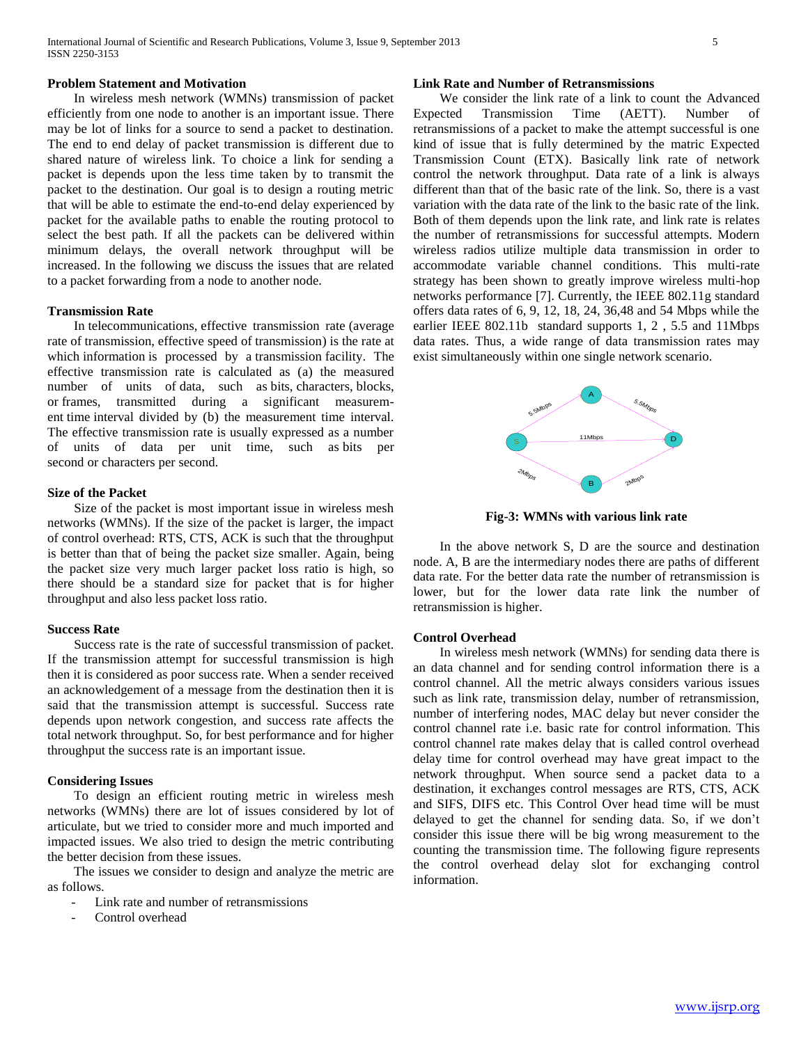## **Problem Statement and Motivation**

 In wireless mesh network (WMNs) transmission of packet efficiently from one node to another is an important issue. There may be lot of links for a source to send a packet to destination. The end to end delay of packet transmission is different due to shared nature of wireless link. To choice a link for sending a packet is depends upon the less time taken by to transmit the packet to the destination. Our goal is to design a routing metric that will be able to estimate the end-to-end delay experienced by packet for the available paths to enable the routing protocol to select the best path. If all the packets can be delivered within minimum delays, the overall network throughput will be increased. In the following we discuss the issues that are related to a packet forwarding from a node to another node.

## **Transmission Rate**

 In telecommunications, effective transmission rate (average rate of transmission, effective speed of transmission) is the rate at which information is processed by a transmission facility. The effective transmission rate is calculated as (a) the measured number of units of data, such as bits, characters, blocks, or frames, transmitted during a significant measurement time interval divided by (b) the measurement time interval. The effective transmission rate is usually expressed as a number of units of data per unit time, such as bits per second or characters per second.

#### **Size of the Packet**

 Size of the packet is most important issue in wireless mesh networks (WMNs). If the size of the packet is larger, the impact of control overhead: RTS, CTS, ACK is such that the throughput is better than that of being the packet size smaller. Again, being the packet size very much larger packet loss ratio is high, so there should be a standard size for packet that is for higher throughput and also less packet loss ratio.

#### **Success Rate**

 Success rate is the rate of successful transmission of packet. If the transmission attempt for successful transmission is high then it is considered as poor success rate. When a sender received an acknowledgement of a message from the destination then it is said that the transmission attempt is successful. Success rate depends upon network congestion, and success rate affects the total network throughput. So, for best performance and for higher throughput the success rate is an important issue.

## **Considering Issues**

 To design an efficient routing metric in wireless mesh networks (WMNs) there are lot of issues considered by lot of articulate, but we tried to consider more and much imported and impacted issues. We also tried to design the metric contributing the better decision from these issues.

 The issues we consider to design and analyze the metric are as follows.

- Link rate and number of retransmissions
- Control overhead

## **Link Rate and Number of Retransmissions**

 We consider the link rate of a link to count the Advanced Expected Transmission Time (AETT). Number of retransmissions of a packet to make the attempt successful is one kind of issue that is fully determined by the matric Expected Transmission Count (ETX). Basically link rate of network control the network throughput. Data rate of a link is always different than that of the basic rate of the link. So, there is a vast variation with the data rate of the link to the basic rate of the link. Both of them depends upon the link rate, and link rate is relates the number of retransmissions for successful attempts. Modern wireless radios utilize multiple data transmission in order to accommodate variable channel conditions. This multi-rate strategy has been shown to greatly improve wireless multi-hop networks performance [7]. Currently, the IEEE 802.11g standard offers data rates of 6, 9, 12, 18, 24, 36,48 and 54 Mbps while the earlier IEEE 802.11b standard supports 1, 2 , 5.5 and 11Mbps data rates. Thus, a wide range of data transmission rates may exist simultaneously within one single network scenario.



**Fig-3: WMNs with various link rate**

 In the above network S, D are the source and destination node. A, B are the intermediary nodes there are paths of different data rate. For the better data rate the number of retransmission is lower, but for the lower data rate link the number of retransmission is higher.

## **Control Overhead**

 In wireless mesh network (WMNs) for sending data there is an data channel and for sending control information there is a control channel. All the metric always considers various issues such as link rate, transmission delay, number of retransmission, number of interfering nodes, MAC delay but never consider the control channel rate i.e. basic rate for control information. This control channel rate makes delay that is called control overhead delay time for control overhead may have great impact to the network throughput. When source send a packet data to a destination, it exchanges control messages are RTS, CTS, ACK and SIFS, DIFS etc. This Control Over head time will be must delayed to get the channel for sending data. So, if we don't consider this issue there will be big wrong measurement to the counting the transmission time. The following figure represents the control overhead delay slot for exchanging control information.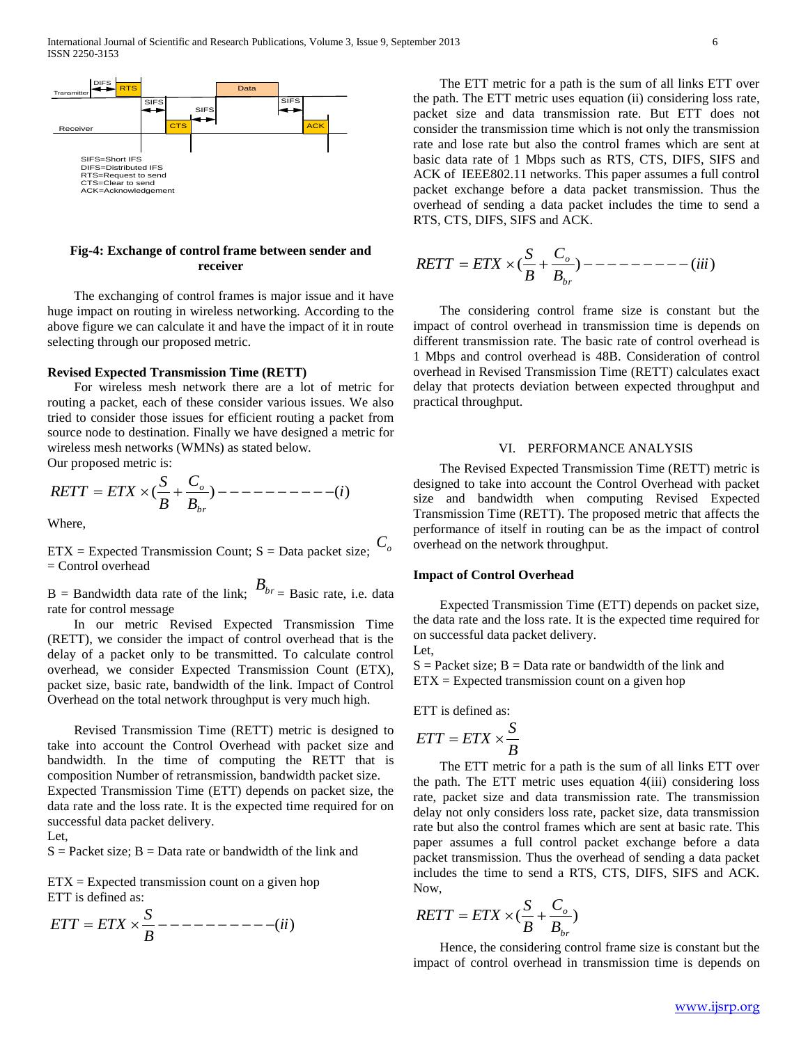

## **Fig-4: Exchange of control frame between sender and receiver**

 The exchanging of control frames is major issue and it have huge impact on routing in wireless networking. According to the above figure we can calculate it and have the impact of it in route selecting through our proposed metric.

#### **Revised Expected Transmission Time (RETT)**

 For wireless mesh network there are a lot of metric for routing a packet, each of these consider various issues. We also tried to consider those issues for efficient routing a packet from source node to destination. Finally we have designed a metric for wireless mesh networks (WMNs) as stated below.

Our proposed metric is:

$$
RETT = ETX \times (\frac{S}{B} + \frac{C_o}{B_{br}}) \quad \text{---} \quad \text{---} \quad \text{---} \quad \text{---} \quad \text{---} \tag{i}
$$
\nWhere,

ETX = Expected Transmission Count; S = Data packet size; *Co* = Control overhead

 $B =$  Bandwidth data rate of the link;  $B_{br} =$  Basic rate, i.e. data rate for control message

 In our metric Revised Expected Transmission Time (RETT), we consider the impact of control overhead that is the delay of a packet only to be transmitted. To calculate control overhead, we consider Expected Transmission Count (ETX), packet size, basic rate, bandwidth of the link. Impact of Control Overhead on the total network throughput is very much high.

 Revised Transmission Time (RETT) metric is designed to take into account the Control Overhead with packet size and bandwidth. In the time of computing the RETT that is composition Number of retransmission, bandwidth packet size. Expected Transmission Time (ETT) depends on packet size, the data rate and the loss rate. It is the expected time required for on successful data packet delivery.

#### Let,

 $S =$  Packet size;  $B =$  Data rate or bandwidth of the link and

 $ETX = Expected transmission count on a given hop$ ETT is defined as:

$$
ETT = ETX \times \frac{S}{B} --- --- --- (ii)
$$

 The ETT metric for a path is the sum of all links ETT over the path. The ETT metric uses equation (ii) considering loss rate, packet size and data transmission rate. But ETT does not consider the transmission time which is not only the transmission rate and lose rate but also the control frames which are sent at basic data rate of 1 Mbps such as RTS, CTS, DIFS, SIFS and ACK of IEEE802.11 networks. This paper assumes a full control packet exchange before a data packet transmission. Thus the overhead of sending a data packet includes the time to send a RTS, CTS, DIFS, SIFS and ACK.

$$
RETT = ETX \times (\frac{S}{B} + \frac{C_o}{B_{br}}) \quad \text{---} \quad \text{---} \quad \text{---} \quad \text{---} \quad \text{---} \quad \text{---}
$$

 The considering control frame size is constant but the impact of control overhead in transmission time is depends on different transmission rate. The basic rate of control overhead is 1 Mbps and control overhead is 48B. Consideration of control overhead in Revised Transmission Time (RETT) calculates exact delay that protects deviation between expected throughput and practical throughput.

#### VI. PERFORMANCE ANALYSIS

 The Revised Expected Transmission Time (RETT) metric is designed to take into account the Control Overhead with packet size and bandwidth when computing Revised Expected Transmission Time (RETT). The proposed metric that affects the performance of itself in routing can be as the impact of control overhead on the network throughput.

## **Impact of Control Overhead**

 Expected Transmission Time (ETT) depends on packet size, the data rate and the loss rate. It is the expected time required for on successful data packet delivery. Let,

 $S =$  Packet size;  $B =$  Data rate or bandwidth of the link and  $ETX = Expected transmission count on a given hop$ 

ETT is defined as:

$$
ETT = ETX \times \frac{S}{B}
$$

 The ETT metric for a path is the sum of all links ETT over the path. The ETT metric uses equation 4(iii) considering loss rate, packet size and data transmission rate. The transmission delay not only considers loss rate, packet size, data transmission rate but also the control frames which are sent at basic rate. This paper assumes a full control packet exchange before a data packet transmission. Thus the overhead of sending a data packet includes the time to send a RTS, CTS, DIFS, SIFS and ACK. Now,

$$
RETT = ETX \times (\frac{S}{B} + \frac{C_o}{B_{br}})
$$

 Hence, the considering control frame size is constant but the impact of control overhead in transmission time is depends on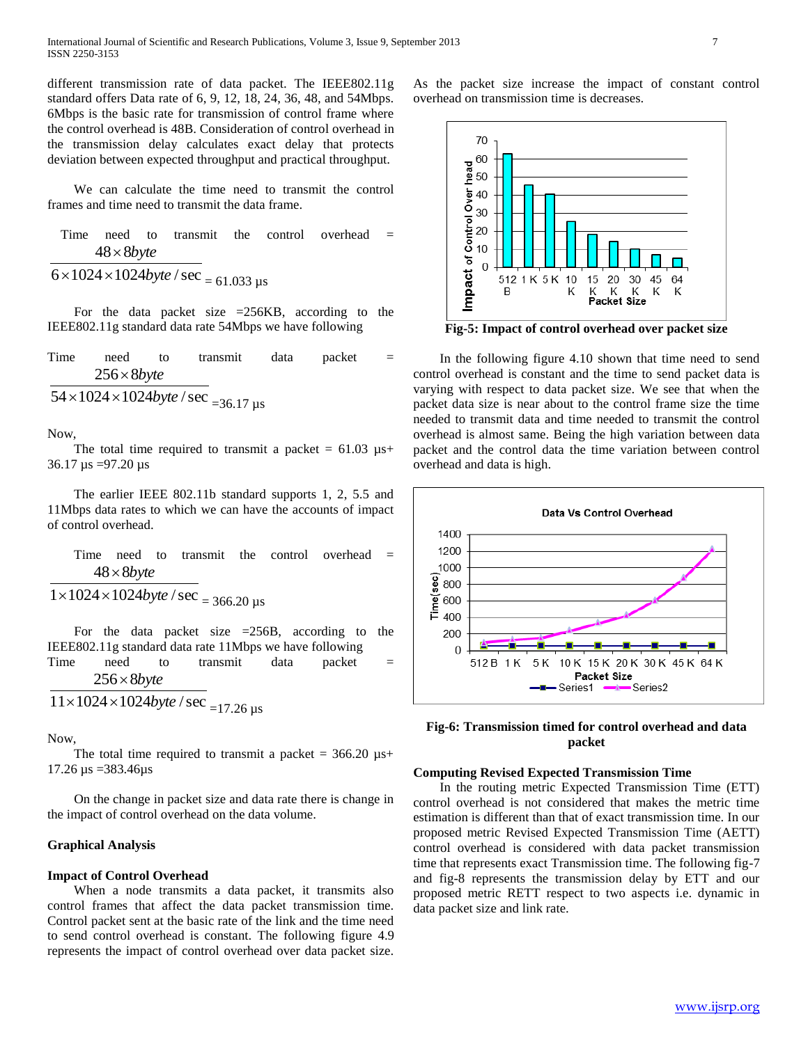different transmission rate of data packet. The IEEE802.11g standard offers Data rate of 6, 9, 12, 18, 24, 36, 48, and 54Mbps. 6Mbps is the basic rate for transmission of control frame where the control overhead is 48B. Consideration of control overhead in the transmission delay calculates exact delay that protects deviation between expected throughput and practical throughput.

 We can calculate the time need to transmit the control frames and time need to transmit the data frame.

Time need to transmit the control overhead = 
$$
48 \times 8byte
$$

 $6 \times 1024 \times 1024$ byte / sec  $= 61.033$  µs

 For the data packet size =256KB, according to the IEEE802.11g standard data rate 54Mbps we have following

Time need to transmit data packet =  $54 \times 1024 \times 1024$ byte / sec <sub>=36.17</sub> µs 256 8 *byte*

Now,

The total time required to transmit a packet =  $61.03 \mu s+$ 36.17  $\mu$ s =97.20  $\mu$ s

 The earlier IEEE 802.11b standard supports 1, 2, 5.5 and 11Mbps data rates to which we can have the accounts of impact of control overhead.

Time need to transmit the control overhead =  $1 \times 1024 \times 1024$ byte / sec = 366.20 µs 48 8 *byte*

For the data packet size  $=256B$ , according to the IEEE802.11g standard data rate 11Mbps we have following Time need to transmit data packet  $=$  $256 \times 8$ *byte* 

$$
11 \times 1024 \times 1024
$$
 *byte* / sec  $= 17.26$   $\mu$ s

Now,

The total time required to transmit a packet =  $366.20 \text{ }\mu\text{s+}$ 17.26 µs =383.46µs

 On the change in packet size and data rate there is change in the impact of control overhead on the data volume.

## **Graphical Analysis**

## **Impact of Control Overhead**

 When a node transmits a data packet, it transmits also control frames that affect the data packet transmission time. Control packet sent at the basic rate of the link and the time need to send control overhead is constant. The following figure 4.9 represents the impact of control overhead over data packet size. As the packet size increase the impact of constant control overhead on transmission time is decreases.



**Fig-5: Impact of control overhead over packet size**

 In the following figure 4.10 shown that time need to send control overhead is constant and the time to send packet data is varying with respect to data packet size. We see that when the packet data size is near about to the control frame size the time needed to transmit data and time needed to transmit the control overhead is almost same. Being the high variation between data packet and the control data the time variation between control overhead and data is high.



**Fig-6: Transmission timed for control overhead and data packet**

## **Computing Revised Expected Transmission Time**

 In the routing metric Expected Transmission Time (ETT) control overhead is not considered that makes the metric time estimation is different than that of exact transmission time. In our proposed metric Revised Expected Transmission Time (AETT) control overhead is considered with data packet transmission time that represents exact Transmission time. The following fig-7 and fig-8 represents the transmission delay by ETT and our proposed metric RETT respect to two aspects i.e. dynamic in data packet size and link rate.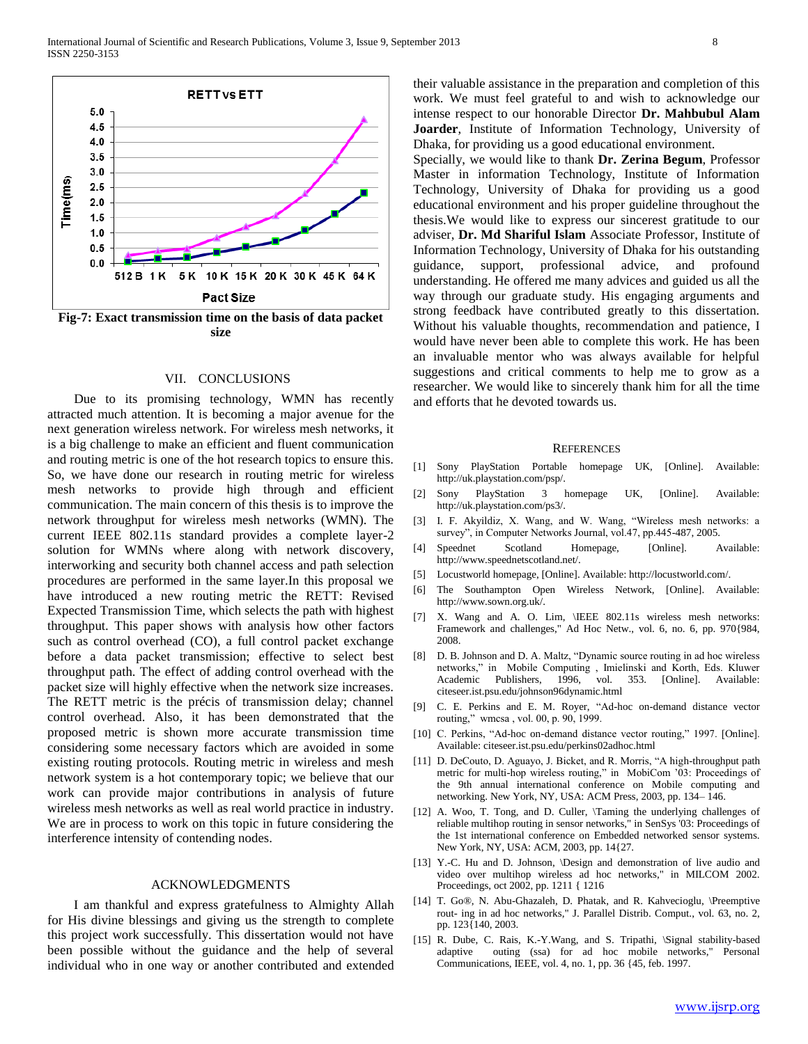

#### VII. CONCLUSIONS

 Due to its promising technology, WMN has recently attracted much attention. It is becoming a major avenue for the next generation wireless network. For wireless mesh networks, it is a big challenge to make an efficient and fluent communication and routing metric is one of the hot research topics to ensure this. So, we have done our research in routing metric for wireless mesh networks to provide high through and efficient communication. The main concern of this thesis is to improve the network throughput for wireless mesh networks (WMN). The current IEEE 802.11s standard provides a complete layer-2 solution for WMNs where along with network discovery, interworking and security both channel access and path selection procedures are performed in the same layer.In this proposal we have introduced a new routing metric the RETT: Revised Expected Transmission Time, which selects the path with highest throughput. This paper shows with analysis how other factors such as control overhead (CO), a full control packet exchange before a data packet transmission; effective to select best throughput path. The effect of adding control overhead with the packet size will highly effective when the network size increases. The RETT metric is the précis of transmission delay; channel control overhead. Also, it has been demonstrated that the proposed metric is shown more accurate transmission time considering some necessary factors which are avoided in some existing routing protocols. Routing metric in wireless and mesh network system is a hot contemporary topic; we believe that our work can provide major contributions in analysis of future wireless mesh networks as well as real world practice in industry. We are in process to work on this topic in future considering the interference intensity of contending nodes.

## ACKNOWLEDGMENTS

 I am thankful and express gratefulness to Almighty Allah for His divine blessings and giving us the strength to complete this project work successfully. This dissertation would not have been possible without the guidance and the help of several individual who in one way or another contributed and extended their valuable assistance in the preparation and completion of this work. We must feel grateful to and wish to acknowledge our intense respect to our honorable Director **Dr. Mahbubul Alam Joarder**, Institute of Information Technology, University of Dhaka, for providing us a good educational environment.

Specially, we would like to thank **Dr. Zerina Begum**, Professor Master in information Technology, Institute of Information Technology, University of Dhaka for providing us a good educational environment and his proper guideline throughout the thesis.We would like to express our sincerest gratitude to our adviser, **Dr. Md Shariful Islam** Associate Professor, Institute of Information Technology, University of Dhaka for his outstanding guidance, support, professional advice, and profound understanding. He offered me many advices and guided us all the way through our graduate study. His engaging arguments and strong feedback have contributed greatly to this dissertation. Without his valuable thoughts, recommendation and patience, I would have never been able to complete this work. He has been an invaluable mentor who was always available for helpful suggestions and critical comments to help me to grow as a researcher. We would like to sincerely thank him for all the time and efforts that he devoted towards us.

#### **REFERENCES**

- [1] Sony PlayStation Portable homepage UK, [Online]. Available: http://uk.playstation.com/psp/.
- [2] Sony PlayStation 3 homepage UK, [Online]. Available: http://uk.playstation.com/ps3/.
- [3] I. F. Akyildiz, X. Wang, and W. Wang, "Wireless mesh networks: a survey", in Computer Networks Journal, vol.47, pp.445-487, 2005.
- [4] Speednet Scotland Homepage, [Online]. Available: http://www.speednetscotland.net/.
- [5] Locustworld homepage, [Online]. Available: http://locustworld.com/.
- [6] The Southampton Open Wireless Network, [Online]. Available: http://www.sown.org.uk/.
- [7] X. Wang and A. O. Lim, \IEEE 802.11s wireless mesh networks: Framework and challenges," Ad Hoc Netw., vol. 6, no. 6, pp. 970{984, 2008.
- [8] D. B. Johnson and D. A. Maltz, "Dynamic source routing in ad hoc wireless networks," in Mobile Computing , Imielinski and Korth, Eds. Kluwer Academic Publishers, 1996, vol. 353. [Online]. Available: citeseer.ist.psu.edu/johnson96dynamic.html
- [9] C. E. Perkins and E. M. Royer, "Ad-hoc on-demand distance vector routing," wmcsa , vol. 00, p. 90, 1999.
- [10] C. Perkins, "Ad-hoc on-demand distance vector routing," 1997. [Online]. Available: citeseer.ist.psu.edu/perkins02adhoc.html
- [11] D. DeCouto, D. Aguayo, J. Bicket, and R. Morris, "A high-throughput path metric for multi-hop wireless routing," in MobiCom '03: Proceedings of the 9th annual international conference on Mobile computing and networking. New York, NY, USA: ACM Press, 2003, pp. 134– 146.
- [12] A. Woo, T. Tong, and D. Culler, \Taming the underlying challenges of reliable multihop routing in sensor networks," in SenSys '03: Proceedings of the 1st international conference on Embedded networked sensor systems. New York, NY, USA: ACM, 2003, pp. 14{27.
- [13] Y.-C. Hu and D. Johnson, \Design and demonstration of live audio and video over multihop wireless ad hoc networks," in MILCOM 2002. Proceedings, oct 2002, pp. 1211 { 1216
- [14] T. Go®, N. Abu-Ghazaleh, D. Phatak, and R. Kahvecioglu, \Preemptive rout- ing in ad hoc networks," J. Parallel Distrib. Comput., vol. 63, no. 2, pp. 123{140, 2003.
- [15] R. Dube, C. Rais, K.-Y.Wang, and S. Tripathi, \Signal stability-based adaptive outing (ssa) for ad hoc mobile networks," Personal Communications, IEEE, vol. 4, no. 1, pp. 36 {45, feb. 1997.